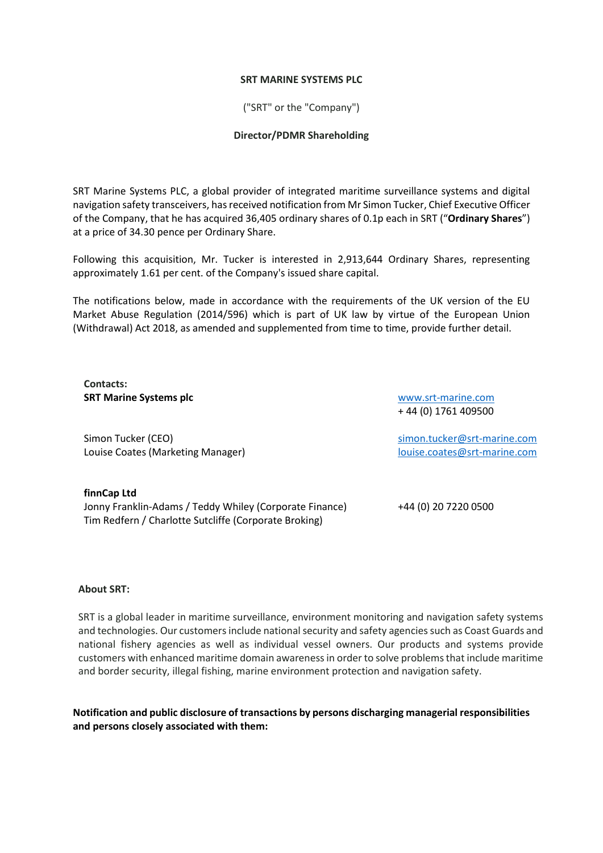## **SRT MARINE SYSTEMS PLC**

("SRT" or the "Company")

## **Director/PDMR Shareholding**

SRT Marine Systems PLC, a global provider of integrated maritime surveillance systems and digital navigation safety transceivers, has received notification from Mr Simon Tucker, Chief Executive Officer of the Company, that he has acquired 36,405 ordinary shares of 0.1p each in SRT ("**Ordinary Shares**") at a price of 34.30 pence per Ordinary Share.

Following this acquisition, Mr. Tucker is interested in 2,913,644 Ordinary Shares, representing approximately 1.61 per cent. of the Company's issued share capital.

The notifications below, made in accordance with the requirements of the UK version of the EU Market Abuse Regulation (2014/596) which is part of UK law by virtue of the European Union (Withdrawal) Act 2018, as amended and supplemented from time to time, provide further detail.

**Contacts: SRT Marine Systems plc**

[www.srt-marine.com](http://www.srt-marine.com/)  + 44 (0) 1761 409500

Simon Tucker (CEO) Louise Coates (Marketing Manager) [simon.tucker@srt-marine.com](mailto:simon.tucker@srt-marine.com) [louise.coates@srt-marine.com](mailto:louise.coates@srt-marine.com)

**finnCap Ltd** Jonny Franklin-Adams / Teddy Whiley (Corporate Finance) +44 (0) 20 7220 0500 Tim Redfern / Charlotte Sutcliffe (Corporate Broking)

## **About SRT:**

SRT is a global leader in maritime surveillance, environment monitoring and navigation safety systems and technologies. Our customers include national security and safety agencies such as Coast Guards and national fishery agencies as well as individual vessel owners. Our products and systems provide customers with enhanced maritime domain awareness in order to solve problems that include maritime and border security, illegal fishing, marine environment protection and navigation safety.

**Notification and public disclosure of transactions by persons discharging managerial responsibilities and persons closely associated with them:**